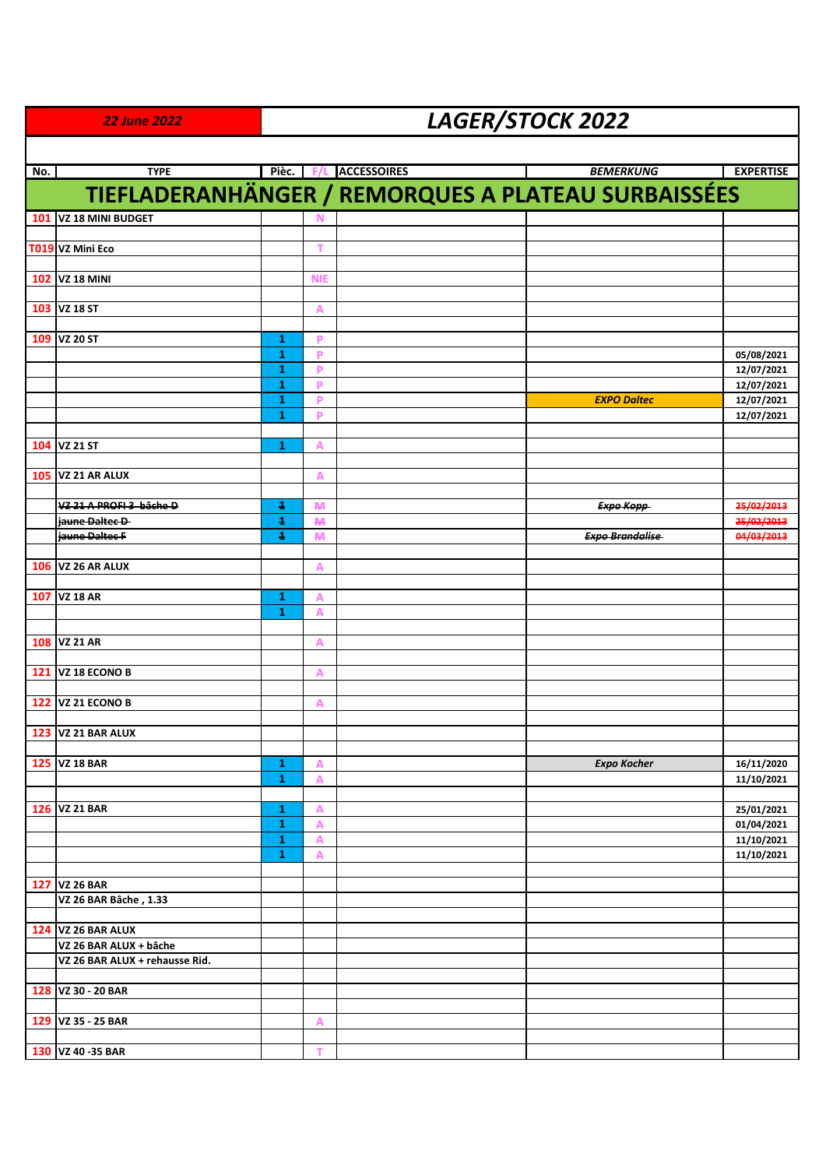|     | <b>22 June 2022</b>                                      | LAGER/STOCK 2022  |                |                    |                                                            |                          |  |  |  |
|-----|----------------------------------------------------------|-------------------|----------------|--------------------|------------------------------------------------------------|--------------------------|--|--|--|
|     |                                                          |                   |                |                    |                                                            |                          |  |  |  |
| No. | <b>TYPE</b>                                              | Pièc.             | <b>F/L</b>     | <b>ACCESSOIRES</b> | <b>BEMERKUNG</b>                                           | <b>EXPERTISE</b>         |  |  |  |
|     |                                                          |                   |                |                    | <b>TIEFLADERANHÄNGER / REMORQUES A PLATEAU SURBAISSÉES</b> |                          |  |  |  |
| 101 | VZ 18 MINI BUDGET                                        |                   | N              |                    |                                                            |                          |  |  |  |
|     | T019 VZ Mini Eco                                         |                   | т              |                    |                                                            |                          |  |  |  |
|     |                                                          |                   |                |                    |                                                            |                          |  |  |  |
|     | 102 VZ 18 MINI                                           |                   | <b>NIE</b>     |                    |                                                            |                          |  |  |  |
|     |                                                          |                   |                |                    |                                                            |                          |  |  |  |
|     | 103 VZ 18 ST                                             |                   | A              |                    |                                                            |                          |  |  |  |
| 109 | <b>VZ 20 ST</b>                                          | 1                 | P              |                    |                                                            |                          |  |  |  |
|     |                                                          | 1                 | P              |                    |                                                            | 05/08/2021               |  |  |  |
|     |                                                          | $\mathbf{1}$      | P<br>P         |                    |                                                            | 12/07/2021               |  |  |  |
|     |                                                          | $\mathbf{1}$<br>1 | P              |                    | <b>EXPO Daltec</b>                                         | 12/07/2021<br>12/07/2021 |  |  |  |
|     |                                                          | $\mathbf{1}$      | P              |                    |                                                            | 12/07/2021               |  |  |  |
|     |                                                          |                   |                |                    |                                                            |                          |  |  |  |
| 104 | <b>VZ 21 ST</b>                                          | 1                 | A              |                    |                                                            |                          |  |  |  |
|     | 105 VZ 21 AR ALUX                                        |                   | $\overline{A}$ |                    |                                                            |                          |  |  |  |
|     |                                                          |                   |                |                    |                                                            |                          |  |  |  |
|     | VZ 21 A PROFI 3 bâche D                                  | Ŧ                 | <b>M</b>       |                    | Ехро Корр-                                                 | 25/02/2013               |  |  |  |
|     | jaune Daltec D-                                          | $\ddagger$        | <b>M</b>       |                    |                                                            | 25/02/2013               |  |  |  |
|     | jaune Daltec F                                           | $\ddagger$        | <b>M</b>       |                    | <b>Expo Brandalise</b>                                     | 04/03/2013               |  |  |  |
|     | <b>106 VZ 26 AR ALUX</b>                                 |                   | $\mathsf{A}$   |                    |                                                            |                          |  |  |  |
|     |                                                          |                   |                |                    |                                                            |                          |  |  |  |
| 107 | <b>VZ 18 AR</b>                                          | 1                 | A              |                    |                                                            |                          |  |  |  |
|     |                                                          | $\mathbf{1}$      | A              |                    |                                                            |                          |  |  |  |
| 108 | <b>VZ 21 AR</b>                                          |                   | A              |                    |                                                            |                          |  |  |  |
|     |                                                          |                   |                |                    |                                                            |                          |  |  |  |
| 121 | VZ 18 ECONO B                                            |                   | A              |                    |                                                            |                          |  |  |  |
|     |                                                          |                   |                |                    |                                                            |                          |  |  |  |
| 122 | VZ 21 ECONO B                                            |                   | А              |                    |                                                            |                          |  |  |  |
|     | <b>123 VZ 21 BAR ALUX</b>                                |                   |                |                    |                                                            |                          |  |  |  |
|     |                                                          |                   |                |                    |                                                            |                          |  |  |  |
|     | 125 VZ 18 BAR                                            | 1                 | A              |                    | <b>Expo Kocher</b>                                         | 16/11/2020               |  |  |  |
|     |                                                          | 1                 | A              |                    |                                                            | 11/10/2021               |  |  |  |
|     | 126 VZ 21 BAR                                            | 1                 |                |                    |                                                            | 25/01/2021               |  |  |  |
|     |                                                          | 1                 | $\overline{A}$ |                    |                                                            | 01/04/2021               |  |  |  |
|     |                                                          | $\mathbf{1}$      | A              |                    |                                                            | 11/10/2021               |  |  |  |
|     |                                                          | 1                 | A              |                    |                                                            | 11/10/2021               |  |  |  |
|     | 127 VZ 26 BAR                                            |                   |                |                    |                                                            |                          |  |  |  |
|     | VZ 26 BAR Bâche, 1.33                                    |                   |                |                    |                                                            |                          |  |  |  |
|     |                                                          |                   |                |                    |                                                            |                          |  |  |  |
|     | <b>124 VZ 26 BAR ALUX</b>                                |                   |                |                    |                                                            |                          |  |  |  |
|     | VZ 26 BAR ALUX + bâche<br>VZ 26 BAR ALUX + rehausse Rid. |                   |                |                    |                                                            |                          |  |  |  |
|     |                                                          |                   |                |                    |                                                            |                          |  |  |  |
|     | 128 VZ 30 - 20 BAR                                       |                   |                |                    |                                                            |                          |  |  |  |
|     |                                                          |                   |                |                    |                                                            |                          |  |  |  |
|     | 129 VZ 35 - 25 BAR                                       |                   | A              |                    |                                                            |                          |  |  |  |
|     | 130 VZ 40 - 35 BAR                                       |                   | т              |                    |                                                            |                          |  |  |  |
|     |                                                          |                   |                |                    |                                                            |                          |  |  |  |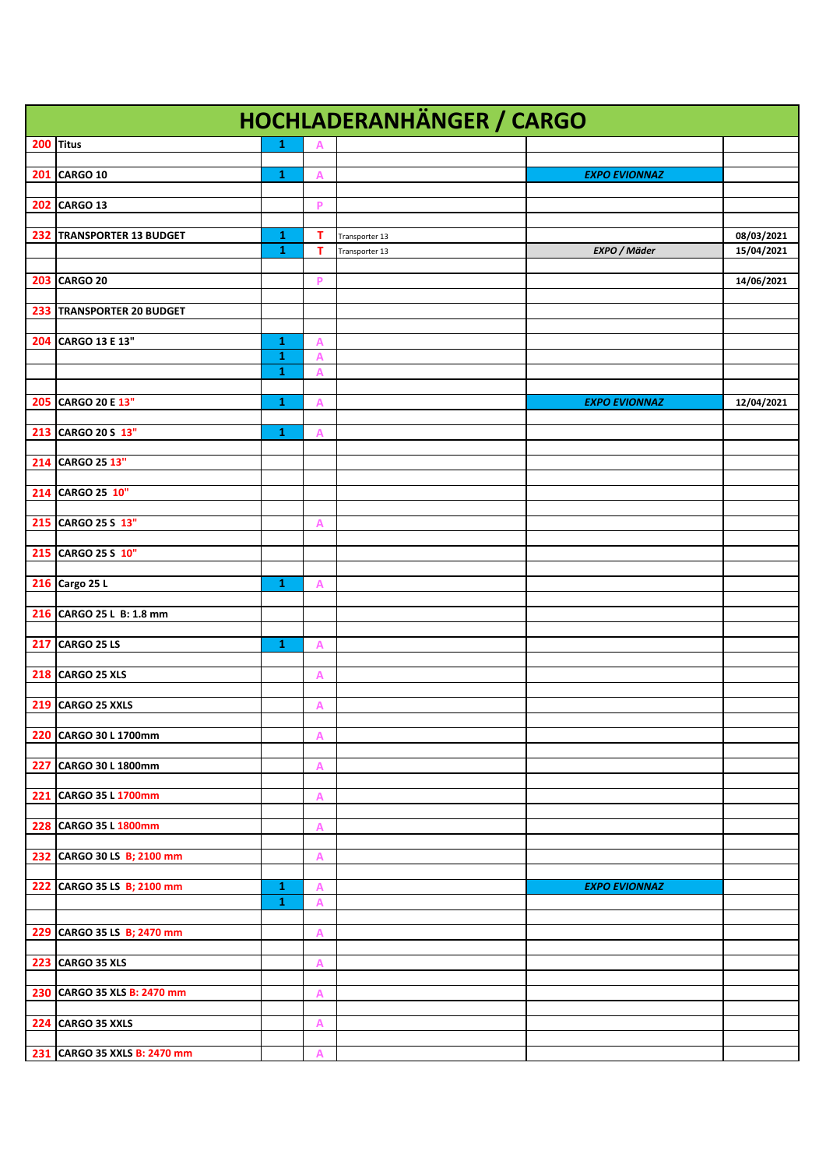| <b>HOCHLADERANHÄNGER / CARGO</b> |                              |                   |                |                      |            |  |  |
|----------------------------------|------------------------------|-------------------|----------------|----------------------|------------|--|--|
| 200 Titus                        | $\mathbf{1}$                 | Α                 |                |                      |            |  |  |
|                                  |                              |                   |                |                      |            |  |  |
| 201 CARGO 10                     | $\mathbf{1}$                 | A                 |                | <b>EXPO EVIONNAZ</b> |            |  |  |
| <b>202 CARGO 13</b>              |                              | P                 |                |                      |            |  |  |
|                                  |                              |                   |                |                      |            |  |  |
| 232 TRANSPORTER 13 BUDGET        | 1                            | т                 | Transporter 13 |                      | 08/03/2021 |  |  |
|                                  | 1                            | T                 | Transporter 13 | EXPO / Mäder         | 15/04/2021 |  |  |
| 203 CARGO 20                     |                              | P                 |                |                      | 14/06/2021 |  |  |
|                                  |                              |                   |                |                      |            |  |  |
| 233 TRANSPORTER 20 BUDGET        |                              |                   |                |                      |            |  |  |
|                                  |                              |                   |                |                      |            |  |  |
| 204 CARGO 13 E 13"               | $\mathbf{1}$                 | А                 |                |                      |            |  |  |
|                                  | $\mathbf{1}$<br>$\mathbf{1}$ | $\mathsf{A}$<br>A |                |                      |            |  |  |
|                                  |                              |                   |                |                      |            |  |  |
| 205 CARGO 20 E 13"               | 1                            | А                 |                | <b>EXPO EVIONNAZ</b> | 12/04/2021 |  |  |
|                                  |                              |                   |                |                      |            |  |  |
| 213 CARGO 20 S 13"               | 1                            | А                 |                |                      |            |  |  |
| 214 CARGO 25 13"                 |                              |                   |                |                      |            |  |  |
|                                  |                              |                   |                |                      |            |  |  |
| 214 CARGO 25 10"                 |                              |                   |                |                      |            |  |  |
|                                  |                              |                   |                |                      |            |  |  |
| 215 CARGO 25 S 13"               |                              | А                 |                |                      |            |  |  |
| 215 CARGO 25 S 10"               |                              |                   |                |                      |            |  |  |
|                                  |                              |                   |                |                      |            |  |  |
| 216 Cargo 25 L                   | $\mathbf{1}$                 | A                 |                |                      |            |  |  |
|                                  |                              |                   |                |                      |            |  |  |
| 216 CARGO 25 L B: 1.8 mm         |                              |                   |                |                      |            |  |  |
| <b>217 CARGO 25 LS</b>           | 1                            | А                 |                |                      |            |  |  |
|                                  |                              |                   |                |                      |            |  |  |
| <b>218 CARGO 25 XLS</b>          |                              | A                 |                |                      |            |  |  |
|                                  |                              |                   |                |                      |            |  |  |
| 219 CARGO 25 XXLS                |                              | A                 |                |                      |            |  |  |
| 220 CARGO 30 L 1700mm            |                              | А                 |                |                      |            |  |  |
|                                  |                              |                   |                |                      |            |  |  |
| 227 CARGO 30 L 1800mm            |                              | A                 |                |                      |            |  |  |
|                                  |                              |                   |                |                      |            |  |  |
| 221 CARGO 35 L 1700mm            |                              | А                 |                |                      |            |  |  |
| 228 CARGO 35 L 1800mm            |                              | A                 |                |                      |            |  |  |
|                                  |                              |                   |                |                      |            |  |  |
| 232 CARGO 30 LS B; 2100 mm       |                              | А                 |                |                      |            |  |  |
| 222 CARGO 35 LS B; 2100 mm       | 1                            |                   |                |                      |            |  |  |
|                                  | $\mathbf{1}$                 | A<br>A            |                | <b>EXPO EVIONNAZ</b> |            |  |  |
|                                  |                              |                   |                |                      |            |  |  |
| 229 CARGO 35 LS B; 2470 mm       |                              | A                 |                |                      |            |  |  |
|                                  |                              |                   |                |                      |            |  |  |
| 223 CARGO 35 XLS                 |                              | A                 |                |                      |            |  |  |
| 230 CARGO 35 XLS B: 2470 mm      |                              | А                 |                |                      |            |  |  |
|                                  |                              |                   |                |                      |            |  |  |
| 224 CARGO 35 XXLS                |                              | Α                 |                |                      |            |  |  |
|                                  |                              |                   |                |                      |            |  |  |
| 231 CARGO 35 XXLS B: 2470 mm     |                              | A                 |                |                      |            |  |  |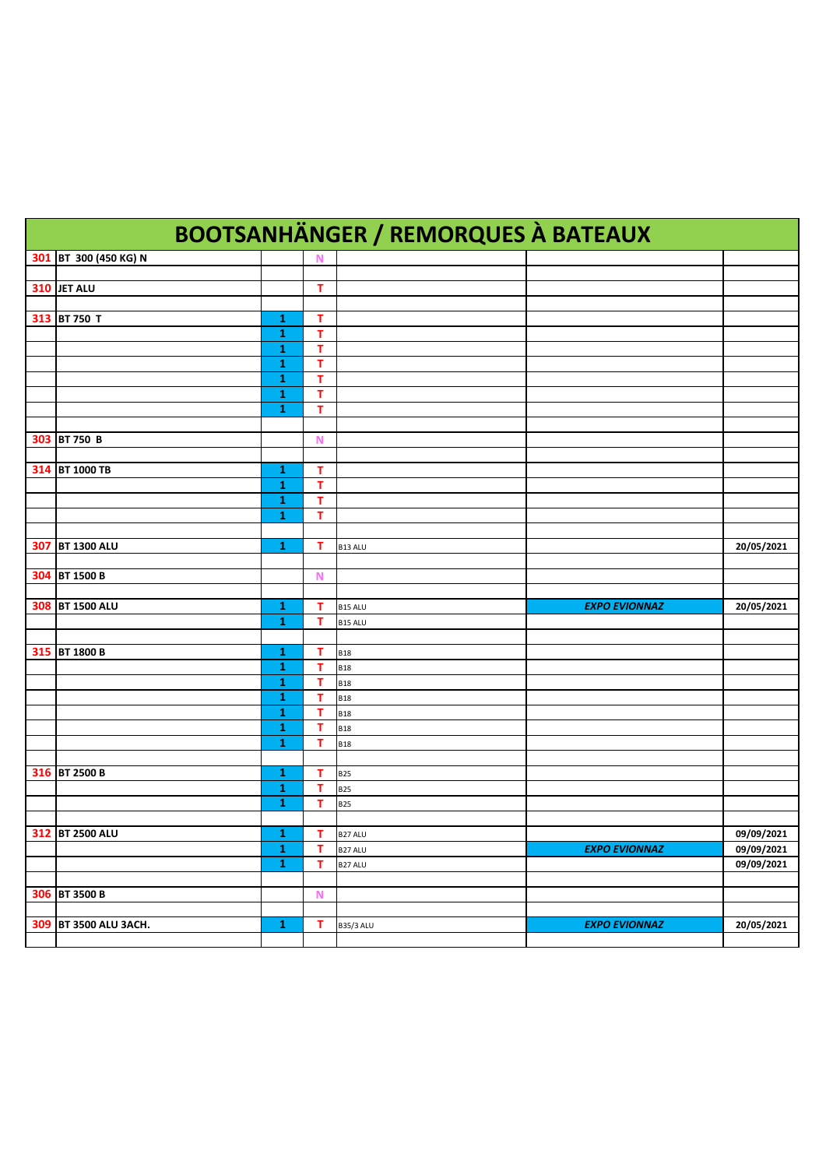|     | <b>BOOTSANHÄNGER / REMORQUES À BATEAUX</b> |              |             |                          |                      |            |  |  |
|-----|--------------------------------------------|--------------|-------------|--------------------------|----------------------|------------|--|--|
|     | 301 BT 300 (450 KG) N                      |              | N           |                          |                      |            |  |  |
|     |                                            |              |             |                          |                      |            |  |  |
|     | 310 JET ALU                                |              | т           |                          |                      |            |  |  |
|     |                                            |              |             |                          |                      |            |  |  |
|     | 313 BT 750 T                               | 1<br>1       | т<br>т      |                          |                      |            |  |  |
|     |                                            | 1            | т           |                          |                      |            |  |  |
|     |                                            | 1            | т           |                          |                      |            |  |  |
|     |                                            | 1            | т           |                          |                      |            |  |  |
|     |                                            | 1            | т           |                          |                      |            |  |  |
|     |                                            | 1            | т           |                          |                      |            |  |  |
|     |                                            |              |             |                          |                      |            |  |  |
|     | 303 BT 750 B                               |              | N           |                          |                      |            |  |  |
|     |                                            |              |             |                          |                      |            |  |  |
|     | 314 BT 1000 TB                             | 1<br>1       | т<br>т      |                          |                      |            |  |  |
|     |                                            | 1            | т           |                          |                      |            |  |  |
|     |                                            | 1            | т           |                          |                      |            |  |  |
|     |                                            |              |             |                          |                      |            |  |  |
| 307 | <b>BT 1300 ALU</b>                         | 1            | т           | B13 ALU                  |                      | 20/05/2021 |  |  |
|     |                                            |              |             |                          |                      |            |  |  |
|     | 304 BT 1500 B                              |              | N           |                          |                      |            |  |  |
|     |                                            |              |             |                          |                      |            |  |  |
|     | 308 BT 1500 ALU                            | 1            | т           | B15 ALU                  | <b>EXPO EVIONNAZ</b> | 20/05/2021 |  |  |
|     |                                            | 1            | т           | B15 ALU                  |                      |            |  |  |
|     | 315 BT 1800 B                              | 1            | T           | <b>B18</b>               |                      |            |  |  |
|     |                                            | 1            | т           | <b>B18</b>               |                      |            |  |  |
|     |                                            | 1            | т           | <b>B18</b>               |                      |            |  |  |
|     |                                            | 1            | т           | <b>B18</b>               |                      |            |  |  |
|     |                                            | 1            | т           | <b>B18</b>               |                      |            |  |  |
|     |                                            | 1            | т           | <b>B18</b>               |                      |            |  |  |
|     |                                            | 1            | т           | <b>B18</b>               |                      |            |  |  |
|     |                                            |              |             |                          |                      |            |  |  |
|     | 316 BT 2500 B                              | 1            | т           | <b>B25</b>               |                      |            |  |  |
|     |                                            | 1<br>1       | т<br>т      | <b>B25</b><br><b>B25</b> |                      |            |  |  |
|     |                                            |              |             |                          |                      |            |  |  |
|     | 312 BT 2500 ALU                            | ${\bf 1}^-$  | $\top$      | B <sub>27</sub> ALU      |                      | 09/09/2021 |  |  |
|     |                                            | $\mathbf 1$  | T           | B27 ALU                  | <b>EXPO EVIONNAZ</b> | 09/09/2021 |  |  |
|     |                                            | $\mathbf{1}$ | T.          | B27 ALU                  |                      | 09/09/2021 |  |  |
|     |                                            |              |             |                          |                      |            |  |  |
|     | 306 BT 3500 B                              |              | $\mathbf N$ |                          |                      |            |  |  |
|     |                                            |              |             |                          |                      |            |  |  |
|     | 309 BT 3500 ALU 3ACH.                      | $\mathbf{1}$ | $\mathsf T$ | <b>B35/3 ALU</b>         | <b>EXPO EVIONNAZ</b> | 20/05/2021 |  |  |
|     |                                            |              |             |                          |                      |            |  |  |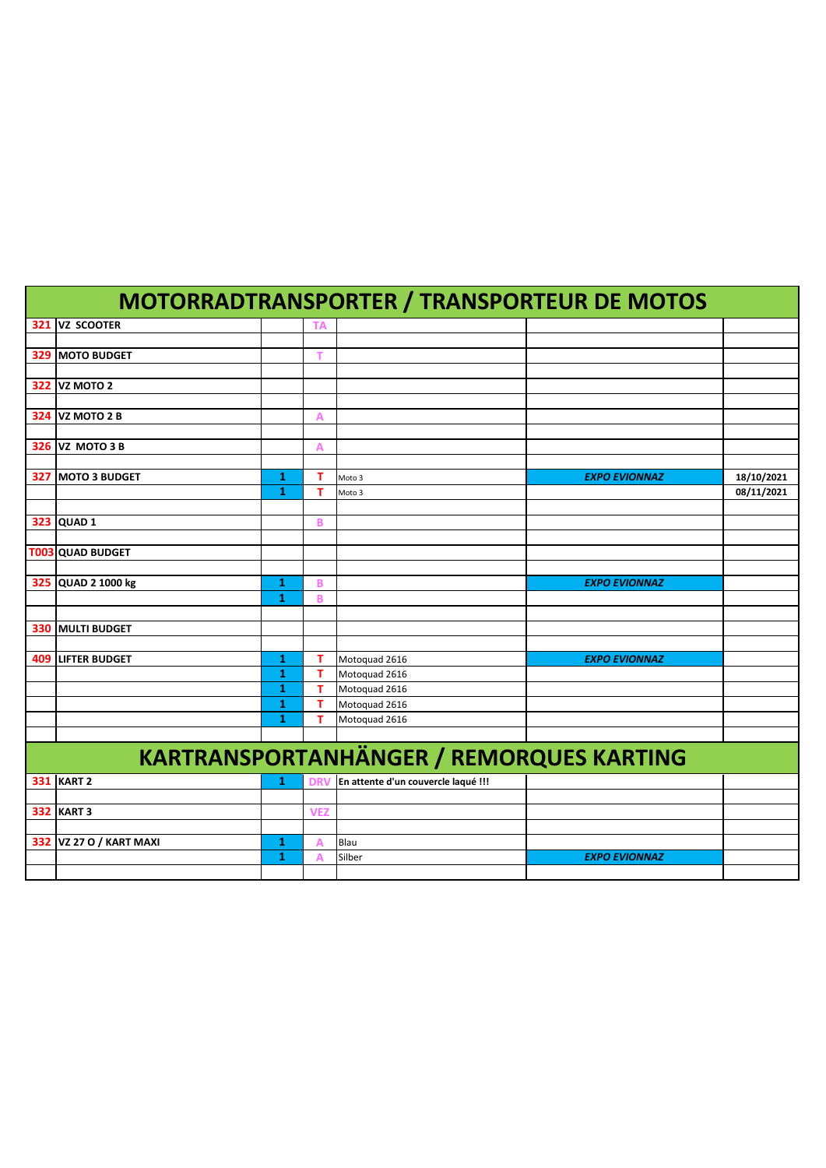|                                |        |              | <b>MOTORRADTRANSPORTER / TRANSPORTEUR DE MOTOS</b> |                      |            |
|--------------------------------|--------|--------------|----------------------------------------------------|----------------------|------------|
| 321 VZ SCOOTER                 |        |              |                                                    |                      |            |
|                                |        |              |                                                    |                      |            |
| <b>329 MOTO BUDGET</b>         |        | т            |                                                    |                      |            |
|                                |        |              |                                                    |                      |            |
| <b>322 VZ MOTO 2</b>           |        |              |                                                    |                      |            |
|                                |        |              |                                                    |                      |            |
| <b>324 VZ MOTO 2 B</b>         |        | Α            |                                                    |                      |            |
| <b>326 VZ MOTO 3 B</b>         |        | А            |                                                    |                      |            |
|                                |        |              |                                                    |                      |            |
| 327 MOTO 3 BUDGET              | 1      | т            | Moto 3                                             | <b>EXPO EVIONNAZ</b> | 18/10/2021 |
|                                | 1      | т            | Moto 3                                             |                      | 08/11/2021 |
|                                |        |              |                                                    |                      |            |
| 323 QUAD 1                     |        | B            |                                                    |                      |            |
|                                |        |              |                                                    |                      |            |
| T003 QUAD BUDGET               |        |              |                                                    |                      |            |
|                                |        |              |                                                    |                      |            |
| 325 QUAD 2 1000 kg             | 1      | B            |                                                    | <b>EXPO EVIONNAZ</b> |            |
|                                | 1      | B            |                                                    |                      |            |
|                                |        |              |                                                    |                      |            |
| <b>330 MULTI BUDGET</b>        |        |              |                                                    |                      |            |
| <b>409 LIFTER BUDGET</b>       | 1      | т            | Motoquad 2616                                      | <b>EXPO EVIONNAZ</b> |            |
|                                | 1      | $\mathbf{T}$ | Motoquad 2616                                      |                      |            |
|                                | 1      | $\mathbf{T}$ | Motoquad 2616                                      |                      |            |
|                                | 1      | T            | Motoquad 2616                                      |                      |            |
|                                | 1      | т            | Motoquad 2616                                      |                      |            |
|                                |        |              |                                                    |                      |            |
|                                |        |              | <b>KARTRANSPORTANHÄNGER / REMORQUES KARTING</b>    |                      |            |
|                                |        |              |                                                    |                      |            |
| <b>331 KART 2</b>              | 1      | DR           | En attente d'un couvercle laqué !!!                |                      |            |
|                                |        |              |                                                    |                      |            |
| <b>332 KART 3</b>              |        | <b>VEZ</b>   |                                                    |                      |            |
|                                |        |              |                                                    |                      |            |
| <b>332 VZ 27 O / KART MAXI</b> | 1<br>1 | Α            | Blau<br>Silber                                     | <b>EXPO EVIONNAZ</b> |            |
|                                |        |              |                                                    |                      |            |
|                                |        |              |                                                    |                      |            |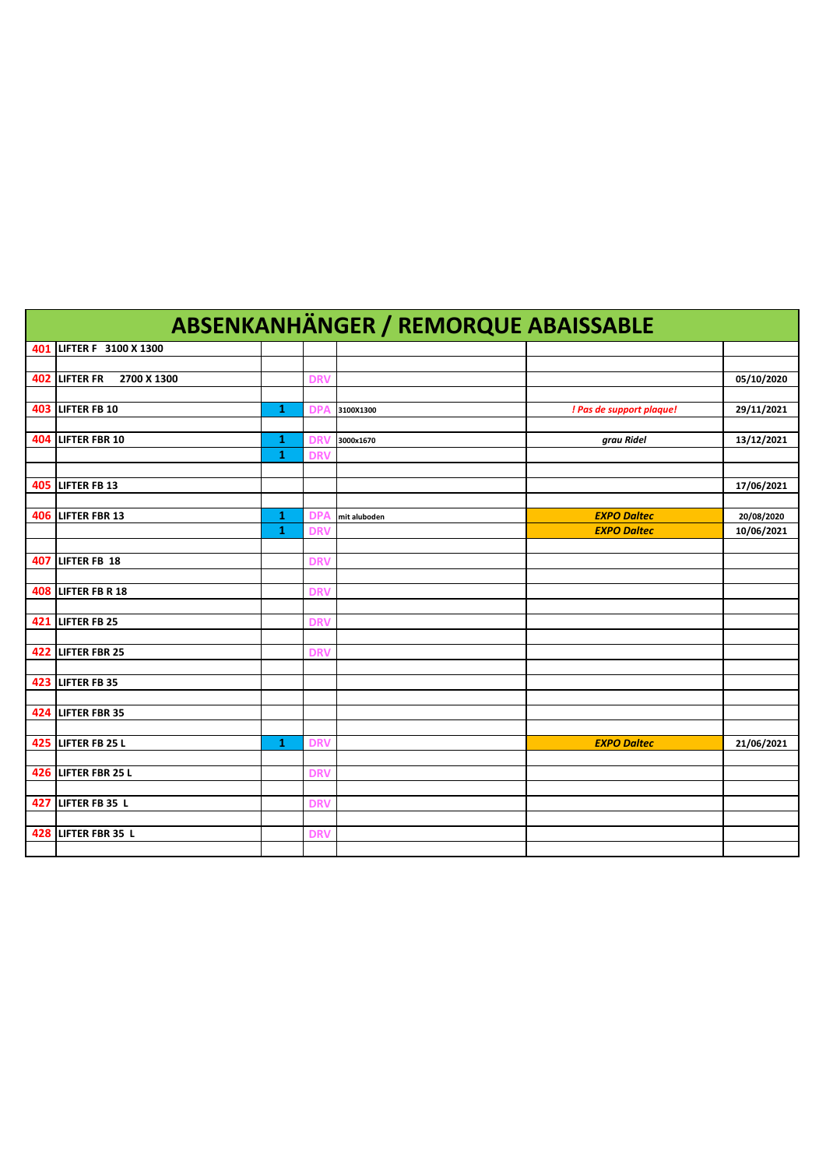|     | <b>ABSENKANHÄNGER / REMORQUE ABAISSABLE</b> |              |            |              |                          |            |  |  |  |
|-----|---------------------------------------------|--------------|------------|--------------|--------------------------|------------|--|--|--|
|     | 401 LIFTER F 3100 X 1300                    |              |            |              |                          |            |  |  |  |
|     |                                             |              |            |              |                          |            |  |  |  |
|     | 402 LIFTER FR<br>2700 X 1300                |              | <b>DRV</b> |              |                          | 05/10/2020 |  |  |  |
|     |                                             |              |            |              |                          |            |  |  |  |
|     | <b>403 LIFTER FB 10</b>                     | 1            | DP.        | 3100X1300    | ! Pas de support plaque! | 29/11/2021 |  |  |  |
|     |                                             |              |            |              |                          |            |  |  |  |
|     | 404 LIFTER FBR 10                           | 1            | <b>DR</b>  | 3000x1670    | grau Ridel               | 13/12/2021 |  |  |  |
|     |                                             | $\mathbf{1}$ | <b>DRV</b> |              |                          |            |  |  |  |
|     |                                             |              |            |              |                          |            |  |  |  |
|     | <b>405 LIFTER FB 13</b>                     |              |            |              |                          | 17/06/2021 |  |  |  |
|     | 406 LIFTER FBR 13                           | 1            | <b>DPA</b> | mit aluboden | <b>EXPO Daltec</b>       | 20/08/2020 |  |  |  |
|     |                                             | $\mathbf{1}$ | <b>DR</b>  |              | <b>EXPO Daltec</b>       | 10/06/2021 |  |  |  |
|     |                                             |              |            |              |                          |            |  |  |  |
| 407 | LIFTER FB 18                                |              | <b>DRV</b> |              |                          |            |  |  |  |
|     |                                             |              |            |              |                          |            |  |  |  |
|     | <b>408 LIFTER FB R 18</b>                   |              | <b>DRV</b> |              |                          |            |  |  |  |
|     |                                             |              |            |              |                          |            |  |  |  |
|     | 421 LIFTER FB 25                            |              | <b>DRV</b> |              |                          |            |  |  |  |
|     |                                             |              |            |              |                          |            |  |  |  |
|     | 422 LIFTER FBR 25                           |              | <b>DRV</b> |              |                          |            |  |  |  |
|     |                                             |              |            |              |                          |            |  |  |  |
|     | <b>423 LIFTER FB 35</b>                     |              |            |              |                          |            |  |  |  |
|     |                                             |              |            |              |                          |            |  |  |  |
|     | 424 LIFTER FBR 35                           |              |            |              |                          |            |  |  |  |
|     |                                             |              |            |              |                          |            |  |  |  |
|     | 425 LIFTER FB 25 L                          | 1            | <b>DRV</b> |              | <b>EXPO Daltec</b>       | 21/06/2021 |  |  |  |
|     | 426 LIFTER FBR 25 L                         |              |            |              |                          |            |  |  |  |
|     |                                             |              | <b>DRV</b> |              |                          |            |  |  |  |
|     | 427 LIFTER FB 35 L                          |              | <b>DRV</b> |              |                          |            |  |  |  |
|     |                                             |              |            |              |                          |            |  |  |  |
|     | 428 LIFTER FBR 35 L                         |              | <b>DRV</b> |              |                          |            |  |  |  |
|     |                                             |              |            |              |                          |            |  |  |  |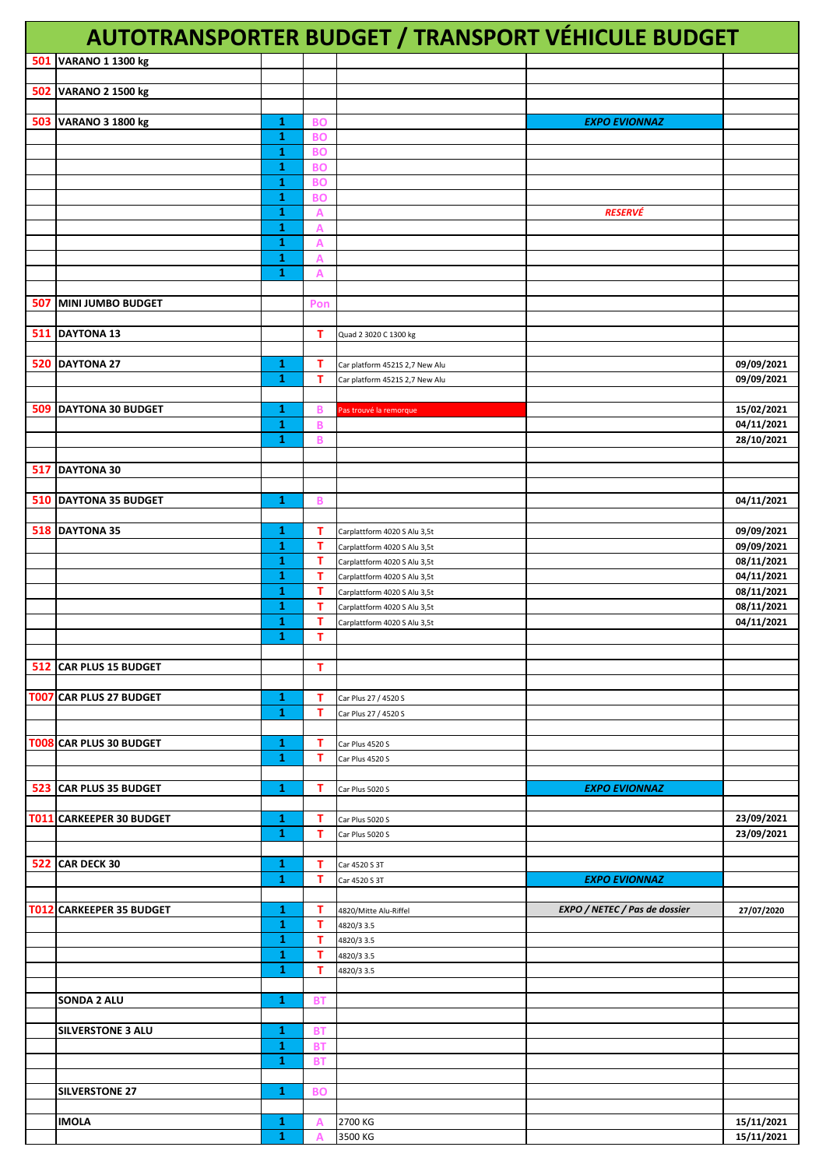|     |                          |                              |                        |                                                              | AUTOTRANSPORTER BUDGET / TRANSPORT VÉHICULE BUDGET |                          |
|-----|--------------------------|------------------------------|------------------------|--------------------------------------------------------------|----------------------------------------------------|--------------------------|
| 501 | <b>VARANO 1 1300 kg</b>  |                              |                        |                                                              |                                                    |                          |
| 502 | VARANO 2 1500 kg         |                              |                        |                                                              |                                                    |                          |
|     |                          |                              |                        |                                                              |                                                    |                          |
|     | 503 VARANO 3 1800 kg     | 1                            | <b>BO</b>              |                                                              | <b>EXPO EVIONNAZ</b>                               |                          |
|     |                          | $\mathbf{1}$<br>$\mathbf{1}$ | <b>BO</b><br><b>BO</b> |                                                              |                                                    |                          |
|     |                          | 1                            | <b>BO</b>              |                                                              |                                                    |                          |
|     |                          | $\mathbf{1}$<br>1            | <b>BO</b><br><b>BO</b> |                                                              |                                                    |                          |
|     |                          | $\mathbf{1}$                 | A                      |                                                              | <b>RESERVÉ</b>                                     |                          |
|     |                          | 1                            | A                      |                                                              |                                                    |                          |
|     |                          | 1<br>1                       | A<br>A                 |                                                              |                                                    |                          |
|     |                          | 1                            | Α                      |                                                              |                                                    |                          |
| 507 | MINI JUMBO BUDGET        |                              | Pon                    |                                                              |                                                    |                          |
|     |                          |                              |                        |                                                              |                                                    |                          |
|     | 511 DAYTONA 13           |                              | т                      | Quad 2 3020 C 1300 kg                                        |                                                    |                          |
|     | 520 DAYTONA 27           | 1                            | т                      | Car platform 4521S 2,7 New Alu                               |                                                    | 09/09/2021               |
|     |                          | 1                            | т                      | Car platform 4521S 2,7 New Alu                               |                                                    | 09/09/2021               |
| 509 | <b>DAYTONA 30 BUDGET</b> | 1                            | B                      | Pas trouvé la remorque                                       |                                                    | 15/02/2021               |
|     |                          | 1                            | B                      |                                                              |                                                    | 04/11/2021               |
|     |                          | 1                            | B                      |                                                              |                                                    | 28/10/2021               |
|     | 517 DAYTONA 30           |                              |                        |                                                              |                                                    |                          |
|     |                          |                              |                        |                                                              |                                                    |                          |
|     | 510 DAYTONA 35 BUDGET    | 1                            | В                      |                                                              |                                                    | 04/11/2021               |
|     | 518 DAYTONA 35           | 1                            | т                      | Carplattform 4020 S Alu 3,5t                                 |                                                    | 09/09/2021               |
|     |                          | 1                            | T                      | Carplattform 4020 S Alu 3,5t                                 |                                                    | 09/09/2021               |
|     |                          | 1<br>1                       | $\mathbf T$<br>т       | Carplattform 4020 S Alu 3,5t<br>Carplattform 4020 S Alu 3,5t |                                                    | 08/11/2021<br>04/11/2021 |
|     |                          | 1                            | т                      | Carplattform 4020 S Alu 3,5t                                 |                                                    | 08/11/2021               |
|     |                          | 1<br>1                       | т<br>т                 | Carplattform 4020 S Alu 3,5t<br>Carplattform 4020 S Alu 3,5t |                                                    | 08/11/2021<br>04/11/2021 |
|     |                          | $\mathbf{1}$                 | т                      |                                                              |                                                    |                          |
|     |                          |                              |                        |                                                              |                                                    |                          |
|     | 512 CAR PLUS 15 BUDGET   |                              | т                      |                                                              |                                                    |                          |
|     | T007 CAR PLUS 27 BUDGET  | 1                            | т                      | Car Plus 27 / 4520 S                                         |                                                    |                          |
|     |                          | $\mathbf{1}$                 | т                      | Car Plus 27 / 4520 S                                         |                                                    |                          |
|     | T008 CAR PLUS 30 BUDGET  | 1                            | т                      | Car Plus 4520 S                                              |                                                    |                          |
|     |                          | 1                            | T                      | Car Plus 4520 S                                              |                                                    |                          |
|     | 523 CAR PLUS 35 BUDGET   | 1                            | т                      | Car Plus 5020 S                                              | <b>EXPO EVIONNAZ</b>                               |                          |
|     |                          |                              |                        |                                                              |                                                    |                          |
|     | T011 CARKEEPER 30 BUDGET | 1<br>1                       | т<br>т                 | Car Plus 5020 S<br>Car Plus 5020 S                           |                                                    | 23/09/2021<br>23/09/2021 |
|     |                          |                              |                        |                                                              |                                                    |                          |
|     | <b>522 CAR DECK 30</b>   | 1<br>1                       | т<br>т                 | Car 4520 S 3T                                                |                                                    |                          |
|     |                          |                              |                        | Car 4520 S 3T                                                | <b>EXPO EVIONNAZ</b>                               |                          |
|     | T012 CARKEEPER 35 BUDGET | 1                            | т                      | 4820/Mitte Alu-Riffel                                        | EXPO / NETEC / Pas de dossier                      | 27/07/2020               |
|     |                          | 1<br>1                       | т<br>т                 | 4820/3 3.5<br>4820/3 3.5                                     |                                                    |                          |
|     |                          | 1                            | т                      | 4820/3 3.5                                                   |                                                    |                          |
|     |                          | 1                            | T                      | 4820/3 3.5                                                   |                                                    |                          |
|     | SONDA 2 ALU              | 1                            | <b>BT</b>              |                                                              |                                                    |                          |
|     |                          |                              |                        |                                                              |                                                    |                          |
|     | <b>SILVERSTONE 3 ALU</b> | 1<br>1                       | BT<br><b>BT</b>        |                                                              |                                                    |                          |
|     |                          | $\mathbf{1}$                 | <b>BT</b>              |                                                              |                                                    |                          |
|     | <b>SILVERSTONE 27</b>    | 1                            | <b>BO</b>              |                                                              |                                                    |                          |
|     |                          |                              |                        |                                                              |                                                    |                          |
|     | <b>IMOLA</b>             | 1                            | A                      | 2700 KG                                                      |                                                    | 15/11/2021               |
|     |                          | 1                            | $\overline{A}$         | 3500 KG                                                      |                                                    | 15/11/2021               |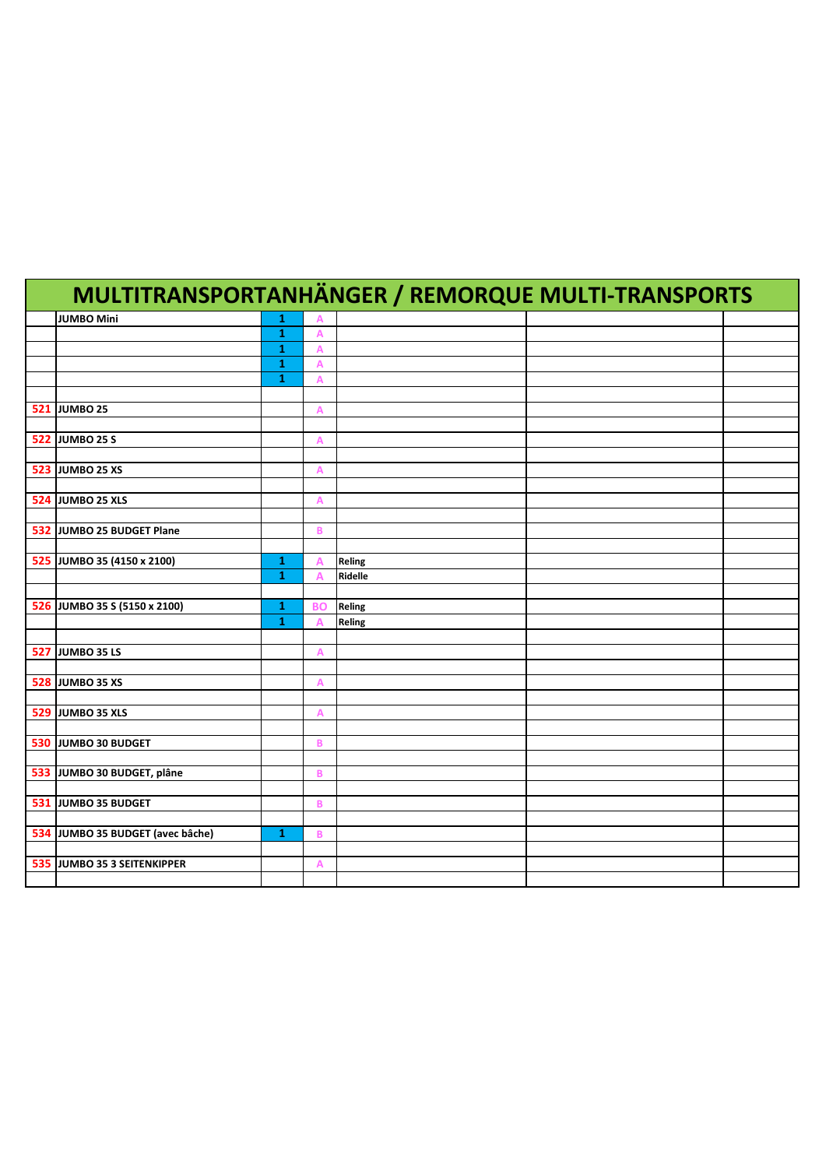| <b>MULTITRANSPORTANHÄNGER / REMORQUE MULTI-TRANSPORTS</b> |              |                |         |  |  |  |  |  |
|-----------------------------------------------------------|--------------|----------------|---------|--|--|--|--|--|
| JUMBO Mini                                                | 1            | Α              |         |  |  |  |  |  |
|                                                           | ${\bf 1}$    | $\overline{A}$ |         |  |  |  |  |  |
|                                                           | $\mathbf{1}$ | A              |         |  |  |  |  |  |
|                                                           | 1            | A              |         |  |  |  |  |  |
|                                                           | $\mathbf{1}$ | A              |         |  |  |  |  |  |
|                                                           |              |                |         |  |  |  |  |  |
| <b>521 JUMBO 25</b>                                       |              | A              |         |  |  |  |  |  |
|                                                           |              |                |         |  |  |  |  |  |
| <b>522 JUMBO 25 S</b>                                     |              | $\overline{A}$ |         |  |  |  |  |  |
|                                                           |              |                |         |  |  |  |  |  |
| <b>523 JUMBO 25 XS</b>                                    |              | A              |         |  |  |  |  |  |
|                                                           |              |                |         |  |  |  |  |  |
| 524 JUMBO 25 XLS                                          |              | A              |         |  |  |  |  |  |
|                                                           |              |                |         |  |  |  |  |  |
| 532 JUMBO 25 BUDGET Plane                                 |              | B              |         |  |  |  |  |  |
|                                                           |              |                |         |  |  |  |  |  |
| 525 JUMBO 35 (4150 x 2100)                                | $\mathbf{1}$ | $\overline{A}$ | Reling  |  |  |  |  |  |
|                                                           | $\mathbf{1}$ | Δ              | Ridelle |  |  |  |  |  |
|                                                           |              |                |         |  |  |  |  |  |
| 526 JUMBO 35 S (5150 x 2100)                              | 1            | <b>BO</b>      | Reling  |  |  |  |  |  |
|                                                           | $\mathbf{1}$ | Α              | Reling  |  |  |  |  |  |
|                                                           |              |                |         |  |  |  |  |  |
| <b>527 JUMBO 35 LS</b>                                    |              | Α              |         |  |  |  |  |  |
|                                                           |              |                |         |  |  |  |  |  |
| <b>528 JUMBO 35 XS</b>                                    |              | A              |         |  |  |  |  |  |
|                                                           |              |                |         |  |  |  |  |  |
| <b>529 JUMBO 35 XLS</b>                                   |              | Α              |         |  |  |  |  |  |
|                                                           |              |                |         |  |  |  |  |  |
| 530 JUMBO 30 BUDGET                                       |              | B              |         |  |  |  |  |  |
|                                                           |              |                |         |  |  |  |  |  |
| 533 JUMBO 30 BUDGET, plâne                                |              | B              |         |  |  |  |  |  |
|                                                           |              |                |         |  |  |  |  |  |
| 531 JUMBO 35 BUDGET                                       |              | B              |         |  |  |  |  |  |
|                                                           |              |                |         |  |  |  |  |  |
| 534 JUMBO 35 BUDGET (avec bâche)                          | 1            | B              |         |  |  |  |  |  |
|                                                           |              |                |         |  |  |  |  |  |
| 535 JUMBO 35 3 SEITENKIPPER                               |              | A              |         |  |  |  |  |  |
|                                                           |              |                |         |  |  |  |  |  |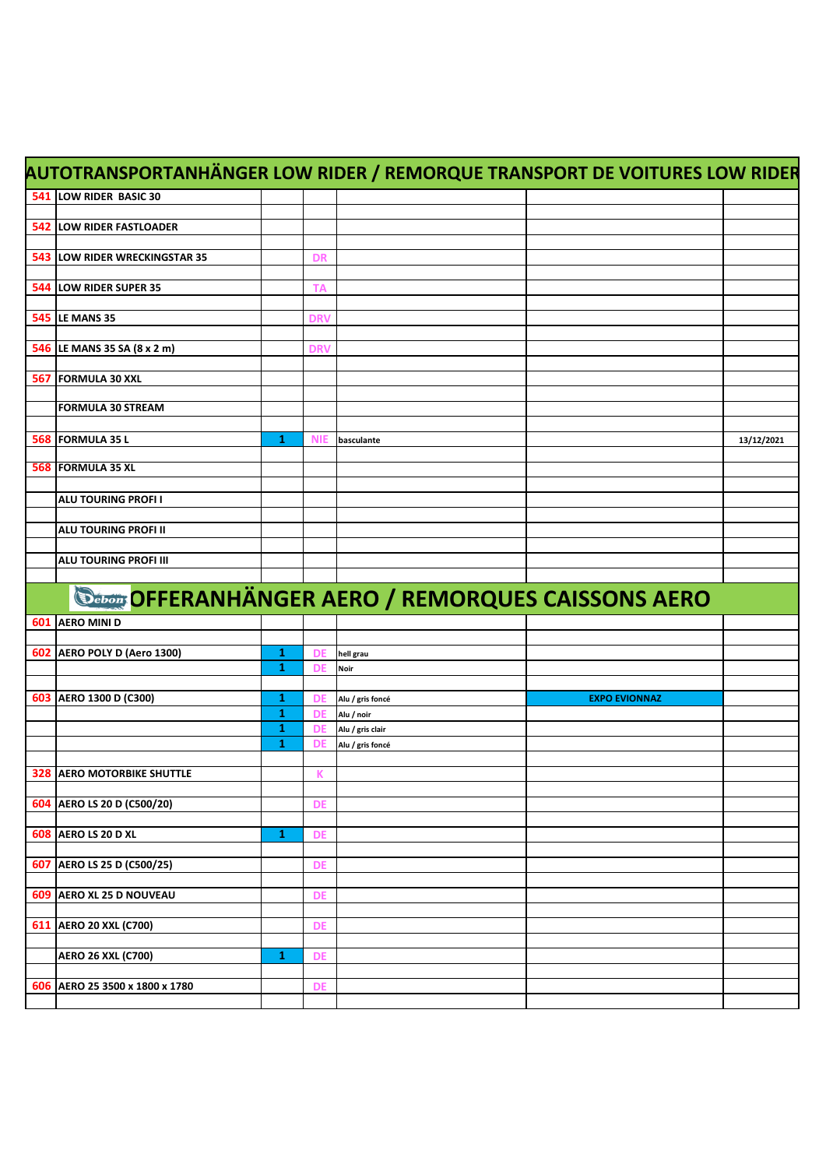| AUTOTRANSPORTANHÄNGER LOW RIDER / REMORQUE TRANSPORT DE VOITURES LOW RIDER |                   |                 |                  |                                                            |            |
|----------------------------------------------------------------------------|-------------------|-----------------|------------------|------------------------------------------------------------|------------|
| 541 LOW RIDER BASIC 30                                                     |                   |                 |                  |                                                            |            |
|                                                                            |                   |                 |                  |                                                            |            |
| <b>542 LOW RIDER FASTLOADER</b>                                            |                   |                 |                  |                                                            |            |
|                                                                            |                   |                 |                  |                                                            |            |
| 543 LOW RIDER WRECKINGSTAR 35                                              |                   | <b>DR</b>       |                  |                                                            |            |
|                                                                            |                   |                 |                  |                                                            |            |
| 544 LOW RIDER SUPER 35                                                     |                   | <b>TA</b>       |                  |                                                            |            |
| <b>545 LE MANS 35</b>                                                      |                   | <b>DRV</b>      |                  |                                                            |            |
|                                                                            |                   |                 |                  |                                                            |            |
| 546 LE MANS 35 SA (8 x 2 m)                                                |                   | <b>DRV</b>      |                  |                                                            |            |
|                                                                            |                   |                 |                  |                                                            |            |
| 567 FORMULA 30 XXL                                                         |                   |                 |                  |                                                            |            |
|                                                                            |                   |                 |                  |                                                            |            |
| <b>FORMULA 30 STREAM</b>                                                   |                   |                 |                  |                                                            |            |
|                                                                            |                   |                 |                  |                                                            |            |
| 568 FORMULA 35 L                                                           | 1                 | <b>NIE</b>      | basculante       |                                                            | 13/12/2021 |
| 568 FORMULA 35 XL                                                          |                   |                 |                  |                                                            |            |
|                                                                            |                   |                 |                  |                                                            |            |
| <b>ALU TOURING PROFI I</b>                                                 |                   |                 |                  |                                                            |            |
|                                                                            |                   |                 |                  |                                                            |            |
| ALU TOURING PROFI II                                                       |                   |                 |                  |                                                            |            |
|                                                                            |                   |                 |                  |                                                            |            |
| ALU TOURING PROFI III                                                      |                   |                 |                  |                                                            |            |
|                                                                            |                   |                 |                  |                                                            |            |
|                                                                            |                   |                 |                  |                                                            |            |
|                                                                            |                   |                 |                  |                                                            |            |
|                                                                            |                   |                 |                  | <b>Sebony OFFERANHÄNGER AERO / REMORQUES CAISSONS AERO</b> |            |
| 601 AERO MINI D                                                            |                   |                 |                  |                                                            |            |
|                                                                            |                   |                 |                  |                                                            |            |
| 602 AERO POLY D (Aero 1300)                                                | 1<br>$\mathbf{1}$ | DE<br><b>DE</b> | hell grau        |                                                            |            |
|                                                                            |                   |                 | <b>Noir</b>      |                                                            |            |
| 603 AERO 1300 D (C300)                                                     | 1                 | DE              | Alu / gris foncé | <b>EXPO EVIONNAZ</b>                                       |            |
|                                                                            | 1                 | <b>DE</b>       | Alu / noir       |                                                            |            |
|                                                                            | 1                 | <b>DE</b>       | Alu / gris clair |                                                            |            |
|                                                                            | 1                 | DE              | Alu / gris foncé |                                                            |            |
|                                                                            |                   |                 |                  |                                                            |            |
| <b>328 AERO MOTORBIKE SHUTTLE</b>                                          |                   | К               |                  |                                                            |            |
|                                                                            |                   |                 |                  |                                                            |            |
| 604 AERO LS 20 D (C500/20)                                                 |                   | DE              |                  |                                                            |            |
|                                                                            | 1                 | <b>DE</b>       |                  |                                                            |            |
| <b>608 AERO LS 20 D XL</b>                                                 |                   |                 |                  |                                                            |            |
| 607 AERO LS 25 D (C500/25)                                                 |                   | DE              |                  |                                                            |            |
|                                                                            |                   |                 |                  |                                                            |            |
| 609 AERO XL 25 D NOUVEAU                                                   |                   | DE              |                  |                                                            |            |
|                                                                            |                   |                 |                  |                                                            |            |
| 611 AERO 20 XXL (C700)                                                     |                   | <b>DE</b>       |                  |                                                            |            |
|                                                                            |                   |                 |                  |                                                            |            |
| <b>AERO 26 XXL (C700)</b>                                                  | 1                 | <b>DE</b>       |                  |                                                            |            |
| 606 AERO 25 3500 x 1800 x 1780                                             |                   | DE              |                  |                                                            |            |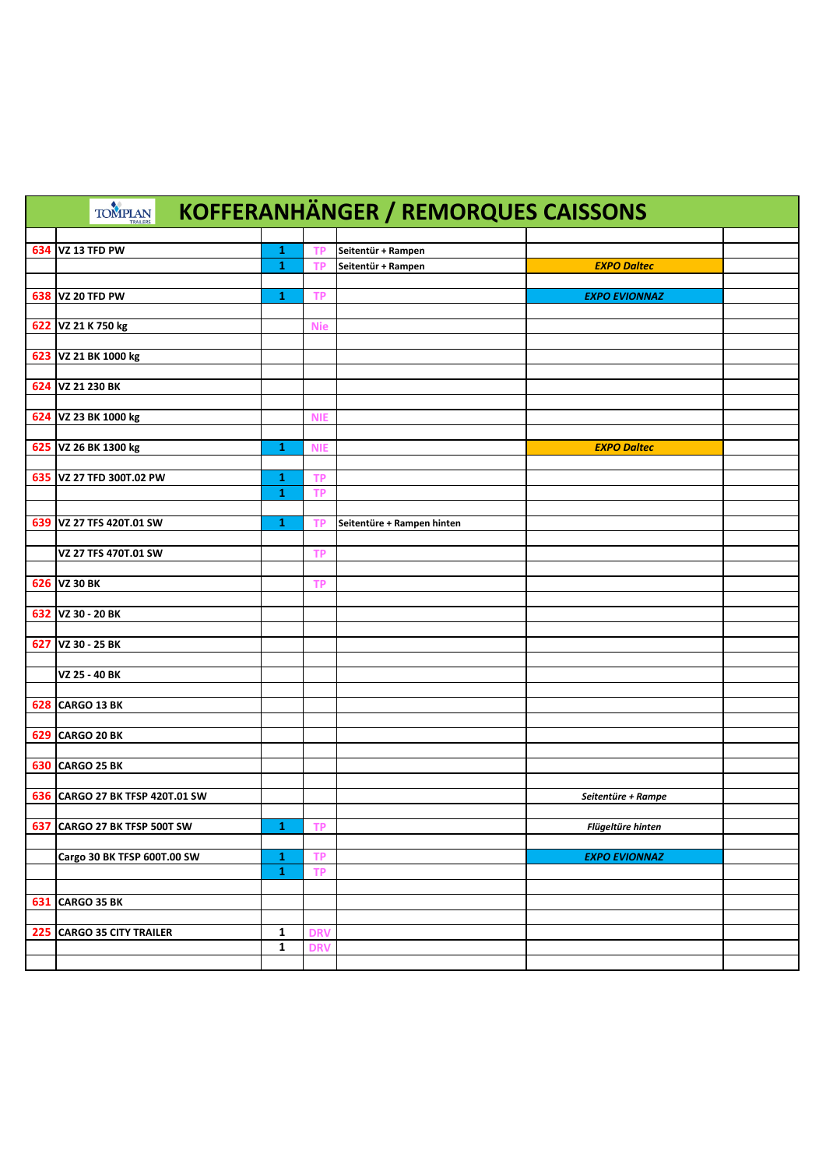|     | <b>TOMPLAN</b>               |                              |            | <b>KOFFERANHÄNGER / REMORQUES CAISSONS</b> |                      |  |
|-----|------------------------------|------------------------------|------------|--------------------------------------------|----------------------|--|
|     |                              |                              |            |                                            |                      |  |
| 634 | VZ 13 TFD PW                 | $\mathbf{1}$<br>$\mathbf{1}$ | ΤP         | Seitentür + Rampen<br>Seitentür + Rampen   | <b>EXPO Daltec</b>   |  |
|     |                              |                              | <b>TP</b>  |                                            |                      |  |
| 638 | VZ 20 TFD PW                 | 1                            | ТP         |                                            | <b>EXPO EVIONNAZ</b> |  |
|     |                              |                              |            |                                            |                      |  |
| 622 | VZ 21 K 750 kg               |                              | <b>Nie</b> |                                            |                      |  |
|     |                              |                              |            |                                            |                      |  |
|     | 623 VZ 21 BK 1000 kg         |                              |            |                                            |                      |  |
|     |                              |                              |            |                                            |                      |  |
|     | 624 VZ 21 230 BK             |                              |            |                                            |                      |  |
|     |                              |                              |            |                                            |                      |  |
|     | 624 VZ 23 BK 1000 kg         |                              | <b>NIE</b> |                                            |                      |  |
|     |                              |                              |            |                                            |                      |  |
|     | 625 VZ 26 BK 1300 kg         | 1                            | <b>NIE</b> |                                            | <b>EXPO Daltec</b>   |  |
|     |                              |                              |            |                                            |                      |  |
|     | 635 VZ 27 TFD 300T.02 PW     | 1                            | ТP         |                                            |                      |  |
|     |                              | $\mathbf{1}$                 | <b>TP</b>  |                                            |                      |  |
|     |                              |                              |            |                                            |                      |  |
|     | 639 VZ 27 TFS 420T.01 SW     | 1                            | <b>TP</b>  | Seitentüre + Rampen hinten                 |                      |  |
|     |                              |                              |            |                                            |                      |  |
|     | VZ 27 TFS 470T.01 SW         |                              | <b>TP</b>  |                                            |                      |  |
|     |                              |                              |            |                                            |                      |  |
|     | 626 VZ 30 BK                 |                              | ТP         |                                            |                      |  |
|     |                              |                              |            |                                            |                      |  |
|     | 632 VZ 30 - 20 BK            |                              |            |                                            |                      |  |
|     |                              |                              |            |                                            |                      |  |
| 627 | VZ 30 - 25 BK                |                              |            |                                            |                      |  |
|     |                              |                              |            |                                            |                      |  |
|     | VZ 25 - 40 BK                |                              |            |                                            |                      |  |
|     |                              |                              |            |                                            |                      |  |
| 628 | <b>CARGO 13 BK</b>           |                              |            |                                            |                      |  |
|     |                              |                              |            |                                            |                      |  |
| 629 | <b>CARGO 20 BK</b>           |                              |            |                                            |                      |  |
|     | <b>CARGO 25 BK</b>           |                              |            |                                            |                      |  |
| 630 |                              |                              |            |                                            |                      |  |
| 636 | CARGO 27 BK TFSP 420T.01 SW  |                              |            |                                            | Seitentüre + Rampe   |  |
|     |                              |                              |            |                                            |                      |  |
| 637 | CARGO 27 BK TFSP 500T SW     | 1                            | <b>TP</b>  |                                            | Flügeltüre hinten    |  |
|     |                              |                              |            |                                            |                      |  |
|     | Cargo 30 BK TFSP 600T.00 SW  | $\mathbf{1}$                 | <b>TP</b>  |                                            | <b>EXPO EVIONNAZ</b> |  |
|     |                              | $\mathbf{1}$                 | <b>TP</b>  |                                            |                      |  |
|     |                              |                              |            |                                            |                      |  |
| 631 | <b>CARGO 35 BK</b>           |                              |            |                                            |                      |  |
|     |                              |                              |            |                                            |                      |  |
| 225 | <b>CARGO 35 CITY TRAILER</b> | 1                            | <b>DRV</b> |                                            |                      |  |
|     |                              | $\mathbf{1}$                 | <b>DRV</b> |                                            |                      |  |
|     |                              |                              |            |                                            |                      |  |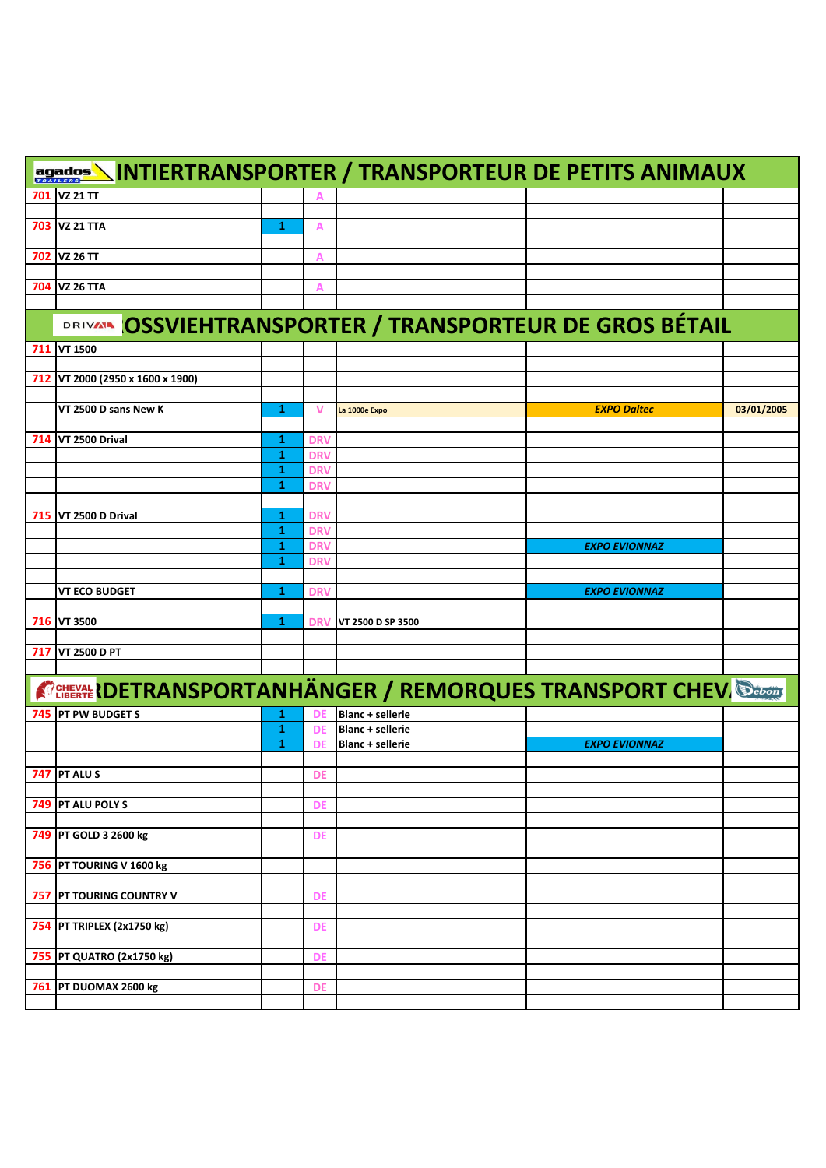|     | agados NINTIERTRANSPORTER / TRANSPORTEUR DE PETITS ANIMAUX                 |              |            |                         |                                                  |            |
|-----|----------------------------------------------------------------------------|--------------|------------|-------------------------|--------------------------------------------------|------------|
| 701 | <b>VZ 21 TT</b>                                                            |              | А          |                         |                                                  |            |
|     |                                                                            |              |            |                         |                                                  |            |
|     | 703 VZ 21 TTA                                                              | $\mathbf{1}$ | A          |                         |                                                  |            |
|     | 702 VZ 26 TT                                                               |              | A          |                         |                                                  |            |
|     |                                                                            |              |            |                         |                                                  |            |
|     | 704 VZ 26 TTA                                                              |              | Α          |                         |                                                  |            |
|     |                                                                            |              |            |                         |                                                  |            |
|     | <b>DRIVAL</b>                                                              |              |            |                         | OSSVIEHTRANSPORTER / TRANSPORTEUR DE GROS BÉTAIL |            |
|     | 711 VT 1500                                                                |              |            |                         |                                                  |            |
|     |                                                                            |              |            |                         |                                                  |            |
|     | 712 VT 2000 (2950 x 1600 x 1900)                                           |              |            |                         |                                                  |            |
|     | VT 2500 D sans New K                                                       | 1            | v          | La 1000e Expo           | <b>EXPO Daltec</b>                               | 03/01/2005 |
|     |                                                                            |              |            |                         |                                                  |            |
|     | 714 VT 2500 Drival                                                         | 1            | <b>DRV</b> |                         |                                                  |            |
|     |                                                                            | 1            | <b>DRV</b> |                         |                                                  |            |
|     |                                                                            | $\mathbf{1}$ | <b>DRV</b> |                         |                                                  |            |
|     |                                                                            | 1            | <b>DRV</b> |                         |                                                  |            |
|     | 715   VT 2500 D Drival                                                     | 1            | <b>DRV</b> |                         |                                                  |            |
|     |                                                                            | 1            | <b>DRV</b> |                         |                                                  |            |
|     |                                                                            | 1            | <b>DRV</b> |                         | <b>EXPO EVIONNAZ</b>                             |            |
|     |                                                                            | 1            | <b>DRV</b> |                         |                                                  |            |
|     |                                                                            |              |            |                         |                                                  |            |
|     | <b>VT ECO BUDGET</b>                                                       | 1            | <b>DRV</b> |                         | <b>EXPO EVIONNAZ</b>                             |            |
|     |                                                                            |              |            |                         |                                                  |            |
|     | 716 VT 3500                                                                | 1            | <b>DRV</b> | VT 2500 D SP 3500       |                                                  |            |
|     | 717 VT 2500 D PT                                                           |              |            |                         |                                                  |            |
|     |                                                                            |              |            |                         |                                                  |            |
|     | <b>A CHEEKAL ROBETRANSPORTANHÄNGER / REMORQUES TRANSPORT CHEV. Changes</b> |              |            |                         |                                                  |            |
|     | 745 PT PW BUDGET S                                                         | 1            | Ðŀ         | <b>Blanc + sellerie</b> |                                                  |            |
|     |                                                                            | 1            | DE         | <b>Blanc + sellerie</b> |                                                  |            |
|     |                                                                            | 1            | DE         | <b>Blanc + sellerie</b> | <b>EXPO EVIONNAZ</b>                             |            |
|     |                                                                            |              |            |                         |                                                  |            |
|     | 747 PT ALU S                                                               |              | DE         |                         |                                                  |            |
|     | 749 PT ALU POLY S                                                          |              | <b>DE</b>  |                         |                                                  |            |
|     |                                                                            |              |            |                         |                                                  |            |
|     | 749 PT GOLD 3 2600 kg                                                      |              | DE         |                         |                                                  |            |
|     |                                                                            |              |            |                         |                                                  |            |
|     | 756 PT TOURING V 1600 kg                                                   |              |            |                         |                                                  |            |
|     |                                                                            |              |            |                         |                                                  |            |
|     | 757 PT TOURING COUNTRY V                                                   |              | <b>DE</b>  |                         |                                                  |            |
|     | 754 PT TRIPLEX (2x1750 kg)                                                 |              | DE         |                         |                                                  |            |
|     |                                                                            |              |            |                         |                                                  |            |
|     | 755 PT QUATRO (2x1750 kg)                                                  |              | DE         |                         |                                                  |            |
|     |                                                                            |              |            |                         |                                                  |            |
|     | 761 PT DUOMAX 2600 kg                                                      |              | DE         |                         |                                                  |            |
|     |                                                                            |              |            |                         |                                                  |            |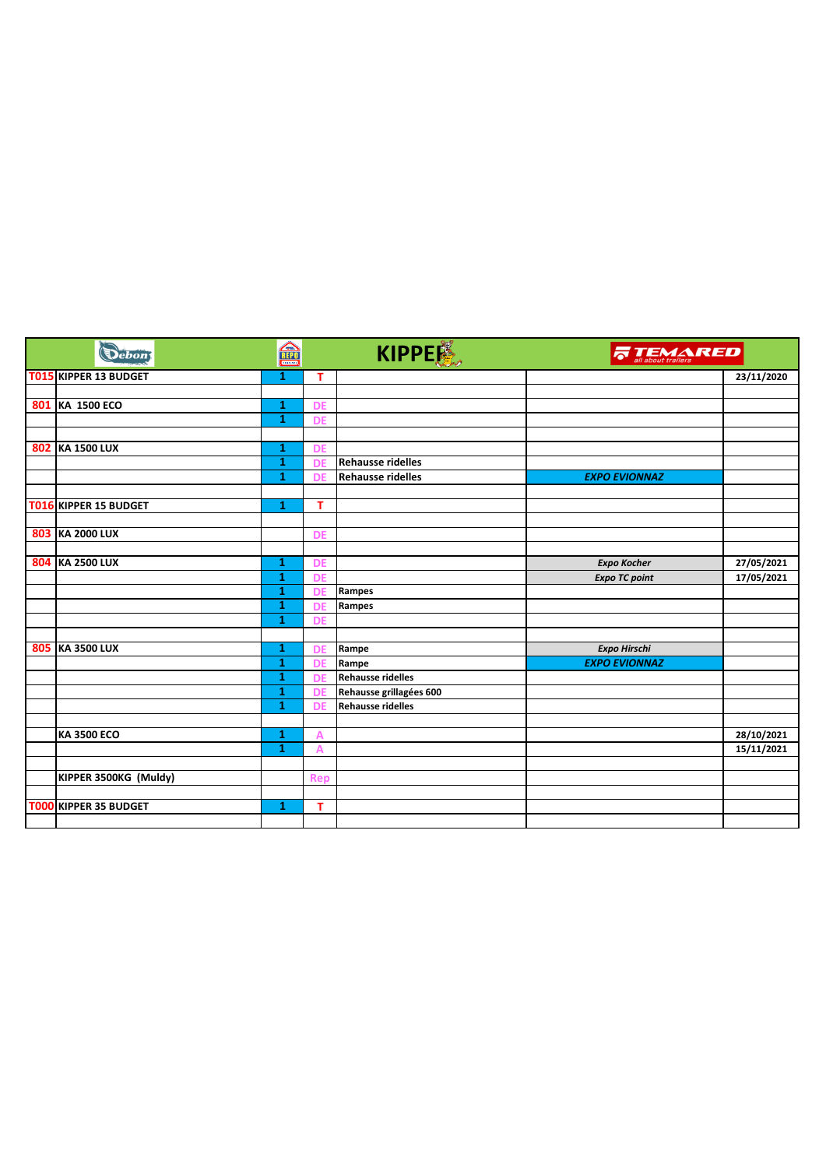|     | Debon                        | 孟<br><b>TELEFAN</b> |            | KIPPER                   | <b>TEMARED</b>       |            |
|-----|------------------------------|---------------------|------------|--------------------------|----------------------|------------|
|     | <b>T015 KIPPER 13 BUDGET</b> | 1                   | т          |                          |                      | 23/11/2020 |
|     |                              |                     |            |                          |                      |            |
|     | 801 KA 1500 ECO              | 1                   | <b>DE</b>  |                          |                      |            |
|     |                              | $\mathbf{1}$        | <b>DE</b>  |                          |                      |            |
|     |                              |                     |            |                          |                      |            |
| 802 | <b>KA 1500 LUX</b>           | 1                   | <b>DE</b>  |                          |                      |            |
|     |                              | $\mathbf{1}$        | DE         | <b>Rehausse ridelles</b> |                      |            |
|     |                              | 1                   | DE         | <b>Rehausse ridelles</b> | <b>EXPO EVIONNAZ</b> |            |
|     |                              |                     |            |                          |                      |            |
|     | T016 KIPPER 15 BUDGET        | 1                   | т          |                          |                      |            |
|     |                              |                     |            |                          |                      |            |
|     | 803 KA 2000 LUX              |                     | <b>DE</b>  |                          |                      |            |
|     | 804 KA 2500 LUX              | 1                   | <b>DE</b>  |                          | <b>Expo Kocher</b>   | 27/05/2021 |
|     |                              | 1                   | <b>DE</b>  |                          | <b>Expo TC point</b> | 17/05/2021 |
|     |                              | 1                   | DE         | Rampes                   |                      |            |
|     |                              | 1                   | <b>DE</b>  | Rampes                   |                      |            |
|     |                              | 1                   | <b>DE</b>  |                          |                      |            |
|     |                              |                     |            |                          |                      |            |
|     | 805 KA 3500 LUX              | 1                   | <b>DE</b>  | Rampe                    | <b>Expo Hirschi</b>  |            |
|     |                              | 1                   | <b>DE</b>  | Rampe                    | <b>EXPO EVIONNAZ</b> |            |
|     |                              | 1                   | <b>DE</b>  | <b>Rehausse ridelles</b> |                      |            |
|     |                              | 1                   | <b>DE</b>  | Rehausse grillagées 600  |                      |            |
|     |                              | 1                   | <b>DE</b>  | <b>Rehausse ridelles</b> |                      |            |
|     |                              |                     |            |                          |                      |            |
|     | <b>KA 3500 ECO</b>           | 1                   | A          |                          |                      | 28/10/2021 |
|     |                              | $\mathbf{1}$        | A          |                          |                      | 15/11/2021 |
|     |                              |                     |            |                          |                      |            |
|     | KIPPER 3500KG (Muldy)        |                     | <b>Rep</b> |                          |                      |            |
|     |                              |                     |            |                          |                      |            |
|     | T000 KIPPER 35 BUDGET        | 1                   | T          |                          |                      |            |
|     |                              |                     |            |                          |                      |            |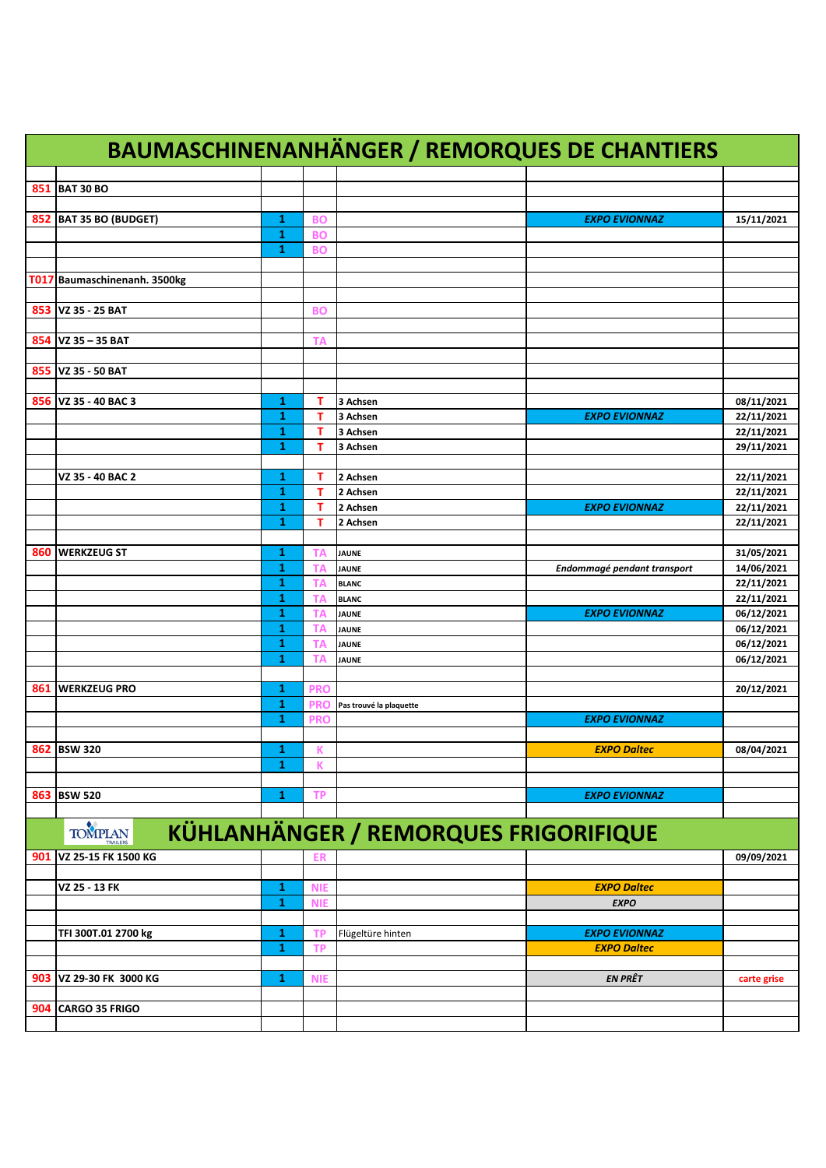| <b>BAUMASCHINENANHÄNGER / REMORQUES DE CHANTIERS</b> |                                                                |              |            |                         |                             |             |  |  |  |  |
|------------------------------------------------------|----------------------------------------------------------------|--------------|------------|-------------------------|-----------------------------|-------------|--|--|--|--|
|                                                      |                                                                |              |            |                         |                             |             |  |  |  |  |
| 851                                                  | <b>BAT 30 BO</b>                                               |              |            |                         |                             |             |  |  |  |  |
|                                                      |                                                                |              |            |                         |                             |             |  |  |  |  |
| 852                                                  | <b>BAT 35 BO (BUDGET)</b>                                      | 1            | <b>BO</b>  |                         | <b>EXPO EVIONNAZ</b>        | 15/11/2021  |  |  |  |  |
|                                                      |                                                                | $\mathbf{1}$ | <b>BO</b>  |                         |                             |             |  |  |  |  |
|                                                      |                                                                | $\mathbf{1}$ | <b>BO</b>  |                         |                             |             |  |  |  |  |
|                                                      |                                                                |              |            |                         |                             |             |  |  |  |  |
|                                                      | T017 Baumaschinenanh. 3500kg                                   |              |            |                         |                             |             |  |  |  |  |
|                                                      |                                                                |              |            |                         |                             |             |  |  |  |  |
|                                                      | 853 VZ 35 - 25 BAT                                             |              | <b>BO</b>  |                         |                             |             |  |  |  |  |
|                                                      |                                                                |              |            |                         |                             |             |  |  |  |  |
|                                                      | 854   VZ 35 - 35 BAT                                           |              | ΤA         |                         |                             |             |  |  |  |  |
|                                                      |                                                                |              |            |                         |                             |             |  |  |  |  |
| 855                                                  | VZ 35 - 50 BAT                                                 |              |            |                         |                             |             |  |  |  |  |
|                                                      |                                                                |              |            |                         |                             |             |  |  |  |  |
| 856                                                  | VZ 35 - 40 BAC 3                                               | 1            | т          | 3 Achsen                |                             | 08/11/2021  |  |  |  |  |
|                                                      |                                                                | 1            | т          | 3 Achsen                | <b>EXPO EVIONNAZ</b>        | 22/11/2021  |  |  |  |  |
|                                                      |                                                                | 1            | т          | 3 Achsen                |                             | 22/11/2021  |  |  |  |  |
|                                                      |                                                                | 1            | т          | 3 Achsen                |                             | 29/11/2021  |  |  |  |  |
|                                                      |                                                                |              |            |                         |                             |             |  |  |  |  |
|                                                      | VZ 35 - 40 BAC 2                                               | 1            | т          | 2 Achsen                |                             | 22/11/2021  |  |  |  |  |
|                                                      |                                                                | 1            | т          | 2 Achsen                |                             | 22/11/2021  |  |  |  |  |
|                                                      |                                                                | 1            | т          | 2 Achsen                | <b>EXPO EVIONNAZ</b>        | 22/11/2021  |  |  |  |  |
|                                                      |                                                                | 1            | т          | 2 Achsen                |                             | 22/11/2021  |  |  |  |  |
|                                                      |                                                                |              |            |                         |                             |             |  |  |  |  |
| 860                                                  | <b>WERKZEUG ST</b>                                             | 1            | ΤА         | <b>JAUNE</b>            |                             | 31/05/2021  |  |  |  |  |
|                                                      |                                                                | 1            | ΤА         | <b>JAUNE</b>            | Endommagé pendant transport | 14/06/2021  |  |  |  |  |
|                                                      |                                                                | 1            | TA         | <b>BLANC</b>            |                             | 22/11/2021  |  |  |  |  |
|                                                      |                                                                | 1            | TA         | <b>BLANC</b>            |                             | 22/11/2021  |  |  |  |  |
|                                                      |                                                                | 1            | <b>TA</b>  | <b>JAUNE</b>            | <b>EXPO EVIONNAZ</b>        | 06/12/2021  |  |  |  |  |
|                                                      |                                                                | 1            | ΤA         | <b>JAUNE</b>            |                             | 06/12/2021  |  |  |  |  |
|                                                      |                                                                | 1            | ΤA         | <b>JAUNE</b>            |                             | 06/12/2021  |  |  |  |  |
|                                                      |                                                                | 1            | ТΑ         | JAUNE                   |                             | 06/12/2021  |  |  |  |  |
|                                                      |                                                                |              |            |                         |                             |             |  |  |  |  |
| 861                                                  | <b>WERKZEUG PRO</b>                                            | 1            | <b>PRO</b> |                         |                             | 20/12/2021  |  |  |  |  |
|                                                      |                                                                | $\mathbf{1}$ | <b>PRO</b> | Pas trouvé la plaquette |                             |             |  |  |  |  |
|                                                      |                                                                | 1            | <b>PRO</b> |                         | <b>EXPO EVIONNAZ</b>        |             |  |  |  |  |
|                                                      |                                                                |              |            |                         |                             |             |  |  |  |  |
|                                                      | 862 BSW 320                                                    | 1            | К          |                         | <b>EXPO Daltec</b>          | 08/04/2021  |  |  |  |  |
|                                                      |                                                                | 1            | К          |                         |                             |             |  |  |  |  |
|                                                      |                                                                |              |            |                         |                             |             |  |  |  |  |
| 863                                                  | <b>BSW 520</b>                                                 | 1            | <b>TP</b>  |                         | <b>EXPO EVIONNAZ</b>        |             |  |  |  |  |
|                                                      |                                                                |              |            |                         |                             |             |  |  |  |  |
|                                                      | <b>KÜHLANHÄNGER / REMORQUES FRIGORIFIQUE</b><br><b>TOMPLAN</b> |              |            |                         |                             |             |  |  |  |  |
| 901                                                  | VZ 25-15 FK 1500 KG                                            |              | <b>ER</b>  |                         |                             | 09/09/2021  |  |  |  |  |
|                                                      |                                                                |              |            |                         |                             |             |  |  |  |  |
|                                                      | VZ 25 - 13 FK                                                  | 1            | <b>NIE</b> |                         | <b>EXPO Daltec</b>          |             |  |  |  |  |
|                                                      |                                                                | 1            | <b>NIE</b> |                         | <b>EXPO</b>                 |             |  |  |  |  |
|                                                      |                                                                |              |            |                         |                             |             |  |  |  |  |
|                                                      | TFI 300T.01 2700 kg                                            | 1            | ТP         | Flügeltüre hinten       | <b>EXPO EVIONNAZ</b>        |             |  |  |  |  |
|                                                      |                                                                | 1            | <b>TP</b>  |                         | <b>EXPO Daltec</b>          |             |  |  |  |  |
|                                                      |                                                                |              |            |                         |                             |             |  |  |  |  |
|                                                      | VZ 29-30 FK 3000 KG                                            | 1            |            |                         | <b>EN PRÊT</b>              |             |  |  |  |  |
| 903                                                  |                                                                |              | <b>NIE</b> |                         |                             | carte grise |  |  |  |  |
|                                                      |                                                                |              |            |                         |                             |             |  |  |  |  |
| 904                                                  | CARGO 35 FRIGO                                                 |              |            |                         |                             |             |  |  |  |  |
|                                                      |                                                                |              |            |                         |                             |             |  |  |  |  |